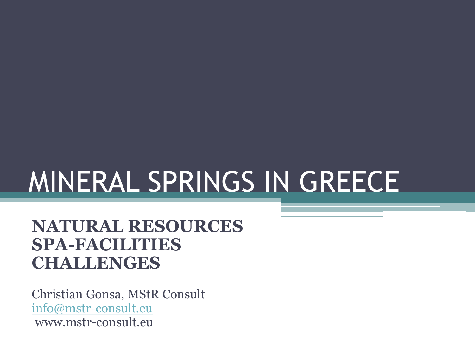# MINERAL SPRINGS IN GREECE

#### **NATURAL RESOURCES SPA-FACILITIES CHALLENGES**

Christian Gonsa, MStR Consult [info@mstr-consult.eu](mailto:info@mstr-consult.eu) www.mstr-consult.eu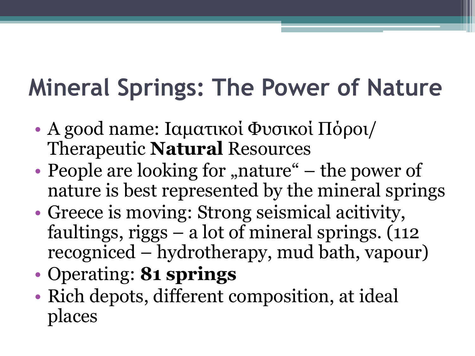## **Mineral Springs: The Power of Nature**

- A good name: Ιαματικοί Φυσικοί Πόροι/ Therapeutic **Natural** Resources
- People are looking for "nature"  $-$  the power of nature is best represented by the mineral springs
- Greece is moving: Strong seismical acitivity, faultings, riggs  $-$  a lot of mineral springs.  $(112)$ recogniced – hydrotherapy, mud bath, vapour)
- Operating: **81 springs**
- Rich depots, different composition, at ideal places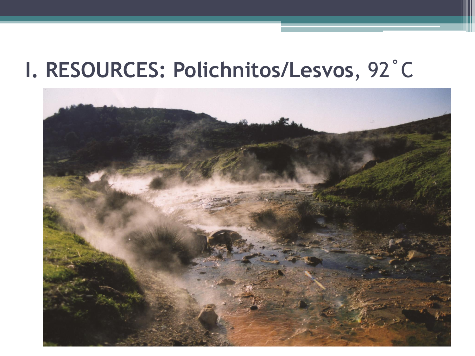#### I. RESOURCES: Polichnitos/Lesvos, 92°C

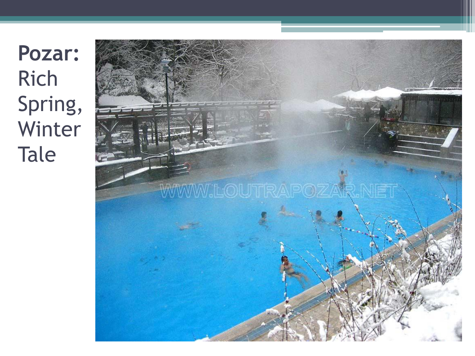**Pozar:** Rich Spring, Winter Tale

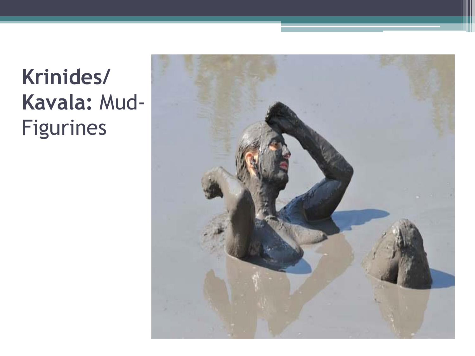### **Krinides/ Kavala:** Mud-Figurines

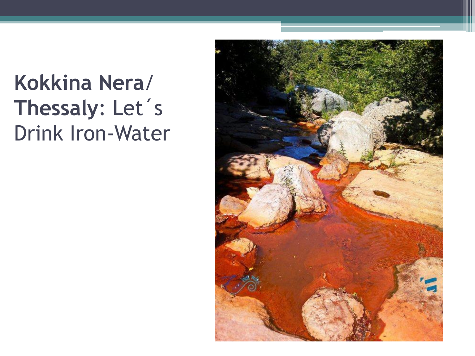#### **Kokkina Nera**/ **Thessaly**: Let´ s Drink Iron-Water

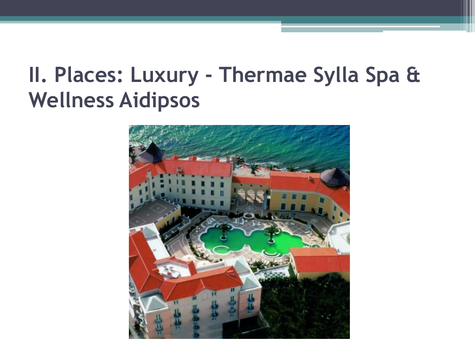#### II. Places: Luxury - Thermae Sylla Spa & **Wellness Aidipsos**

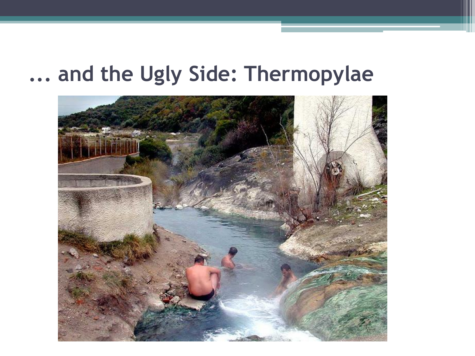#### ... and the Ugly Side: Thermopylae

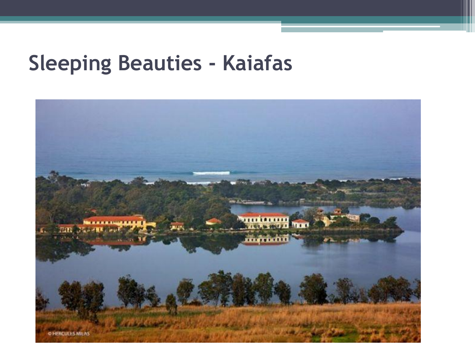#### **Sleeping Beauties - Kaiafas**

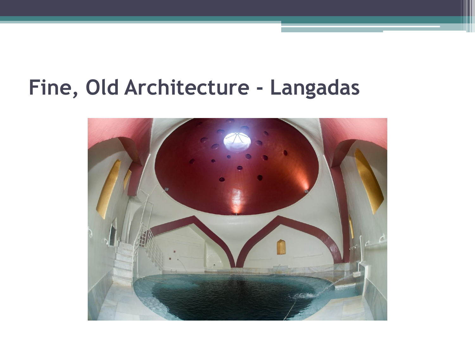#### **Fine, Old Architecture - Langadas**

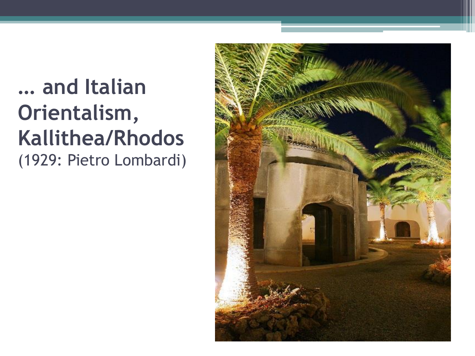#### **… and Italian Orientalism, Kallithea/Rhodos** (1929: Pietro Lombardi)

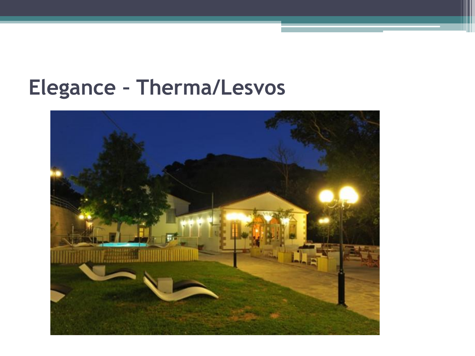#### **Elegance - Therma/Lesvos**

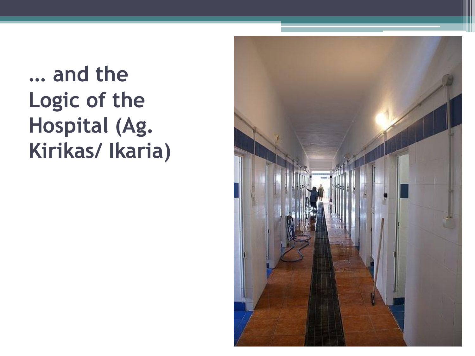#### ... and the Logic of the Hospital (Ag. Kirikas/ Ikaria)

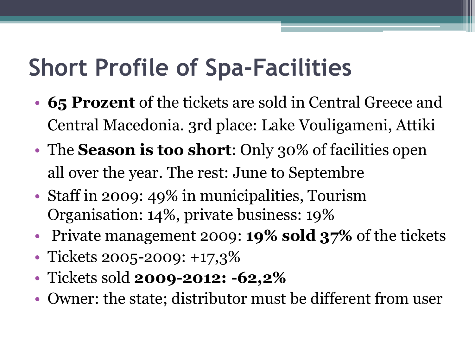## **Short Profile of Spa-Facilities**

- **65 Prozent** of the tickets are sold in Central Greece and Central Macedonia. 3rd place: Lake Vouligameni, Attiki
- The **Season is too short**: Only 30% of facilities open all over the year. The rest: June to Septembre
- Staff in 2009: 49% in municipalities, Tourism Organisation: 14%, private business: 19%
- Private management 2009: **19% sold 37%** of the tickets
- Tickets 2005-2009: +17,3%
- Tickets sold **2009-2012: -62,2%**
- Owner: the state; distributor must be different from user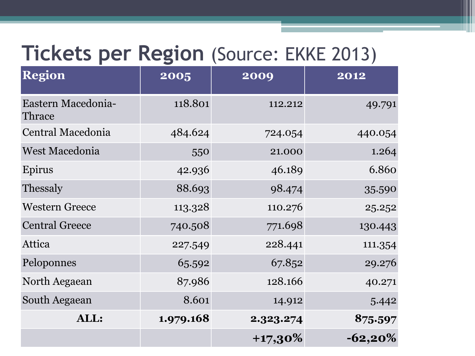#### **Tickets per Region** (Source: EKKE 2013)

| <b>Region</b>                | 2005      | 2009       | 2012       |
|------------------------------|-----------|------------|------------|
| Eastern Macedonia-<br>Thrace | 118.801   | 112.212    | 49.791     |
| Central Macedonia            | 484.624   | 724.054    | 440.054    |
| West Macedonia               | 550       | 21.000     | 1.264      |
| Epirus                       | 42.936    | 46.189     | 6.860      |
| Thessaly                     | 88.693    | 98.474     | 35.590     |
| <b>Western Greece</b>        | 113.328   | 110.276    | 25.252     |
| <b>Central Greece</b>        | 740.508   | 771.698    | 130.443    |
| Attica                       | 227.549   | 228.441    | 111.354    |
| Peloponnes                   | 65.592    | 67.852     | 29.276     |
| North Aegaean                | 87.986    | 128.166    | 40.271     |
| South Aegaean                | 8.601     | 14.912     | 5.442      |
| ALL:                         | 1.979.168 | 2.323.274  | 875.597    |
|                              |           | $+17,30\%$ | $-62,20\%$ |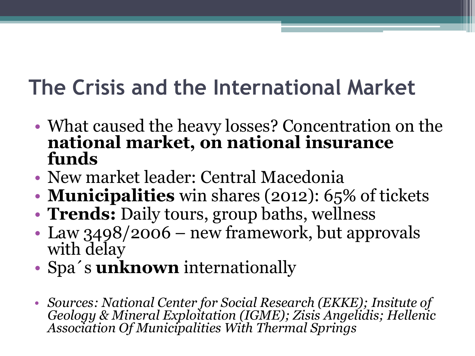#### **The Crisis and the International Market**

- What caused the heavy losses? Concentration on the **national market, on national insurance funds**
- New market leader: Central Macedonia
- **Municipalities** win shares (2012): 65% of tickets
- **Trends:** Daily tours, group baths, wellness
- Law 3498/2006 new framework, but approvals with delay
- Spa´ s **unknown** internationally
- *Sources: National Center for Social Research (EKKE); Insitute of Geology & Mineral Exploitation (IGME); Zisis Angelidis; Hellenic Association Of Municipalities With Thermal Springs*